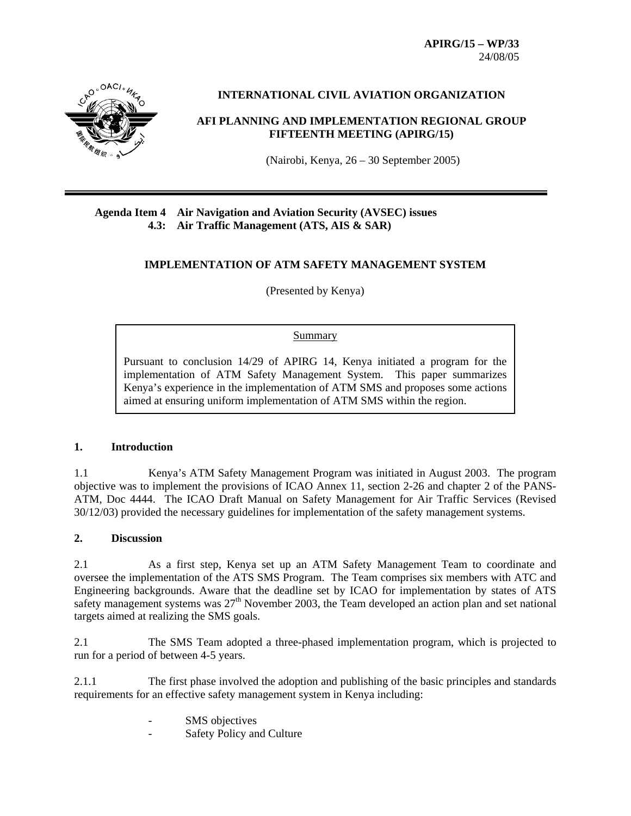**APIRG/15 – WP/33**  24/08/05



# **INTERNATIONAL CIVIL AVIATION ORGANIZATION**

# **AFI PLANNING AND IMPLEMENTATION REGIONAL GROUP FIFTEENTH MEETING (APIRG/15)**

(Nairobi, Kenya, 26 – 30 September 2005)

# **Agenda Item 4 Air Navigation and Aviation Security (AVSEC) issues 4.3: Air Traffic Management (ATS, AIS & SAR)**

## **IMPLEMENTATION OF ATM SAFETY MANAGEMENT SYSTEM**

(Presented by Kenya)

#### Summary

Pursuant to conclusion 14/29 of APIRG 14, Kenya initiated a program for the implementation of ATM Safety Management System. This paper summarizes Kenya's experience in the implementation of ATM SMS and proposes some actions aimed at ensuring uniform implementation of ATM SMS within the region.

### **1. Introduction**

1.1 Kenya's ATM Safety Management Program was initiated in August 2003. The program objective was to implement the provisions of ICAO Annex 11, section 2-26 and chapter 2 of the PANS-ATM, Doc 4444. The ICAO Draft Manual on Safety Management for Air Traffic Services (Revised 30/12/03) provided the necessary guidelines for implementation of the safety management systems.

### **2. Discussion**

2.1 As a first step, Kenya set up an ATM Safety Management Team to coordinate and oversee the implementation of the ATS SMS Program. The Team comprises six members with ATC and Engineering backgrounds. Aware that the deadline set by ICAO for implementation by states of ATS safety management systems was 27<sup>th</sup> November 2003, the Team developed an action plan and set national targets aimed at realizing the SMS goals.

2.1 The SMS Team adopted a three-phased implementation program, which is projected to run for a period of between 4-5 years.

2.1.1 The first phase involved the adoption and publishing of the basic principles and standards requirements for an effective safety management system in Kenya including:

- SMS objectives
- Safety Policy and Culture